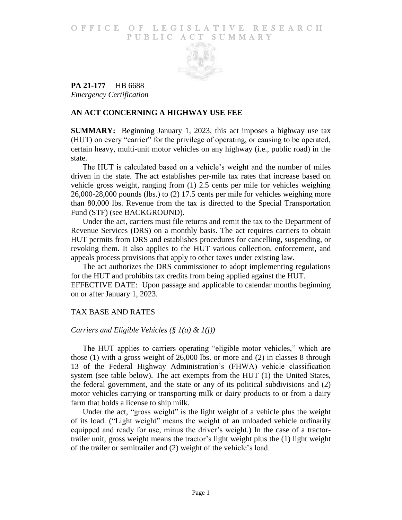## O F FICE OF LEGISLATIVE RESEARCH PUBLIC ACT SUMMARY



**PA 21-177**— HB 6688 *Emergency Certification*

# **AN ACT CONCERNING A HIGHWAY USE FEE**

**SUMMARY:** Beginning January 1, 2023, this act imposes a highway use tax (HUT) on every "carrier" for the privilege of operating, or causing to be operated, certain heavy, multi-unit motor vehicles on any highway (i.e., public road) in the state.

The HUT is calculated based on a vehicle's weight and the number of miles driven in the state. The act establishes per-mile tax rates that increase based on vehicle gross weight, ranging from (1) 2.5 cents per mile for vehicles weighing 26,000-28,000 pounds (lbs.) to (2) 17.5 cents per mile for vehicles weighing more than 80,000 lbs. Revenue from the tax is directed to the Special Transportation Fund (STF) (see BACKGROUND).

Under the act, carriers must file returns and remit the tax to the Department of Revenue Services (DRS) on a monthly basis. The act requires carriers to obtain HUT permits from DRS and establishes procedures for cancelling, suspending, or revoking them. It also applies to the HUT various collection, enforcement, and appeals process provisions that apply to other taxes under existing law.

The act authorizes the DRS commissioner to adopt implementing regulations for the HUT and prohibits tax credits from being applied against the HUT. EFFECTIVE DATE: Upon passage and applicable to calendar months beginning on or after January 1, 2023.

# TAX BASE AND RATES

# *Carriers and Eligible Vehicles (§ 1(a) & 1(j))*

The HUT applies to carriers operating "eligible motor vehicles," which are those (1) with a gross weight of 26,000 lbs. or more and (2) in classes 8 through 13 of the Federal Highway Administration's (FHWA) vehicle classification system (see table below). The act exempts from the HUT (1) the United States, the federal government, and the state or any of its political subdivisions and (2) motor vehicles carrying or transporting milk or dairy products to or from a dairy farm that holds a license to ship milk.

Under the act, "gross weight" is the light weight of a vehicle plus the weight of its load. ("Light weight" means the weight of an unloaded vehicle ordinarily equipped and ready for use, minus the driver's weight.) In the case of a tractortrailer unit, gross weight means the tractor's light weight plus the (1) light weight of the trailer or semitrailer and (2) weight of the vehicle's load.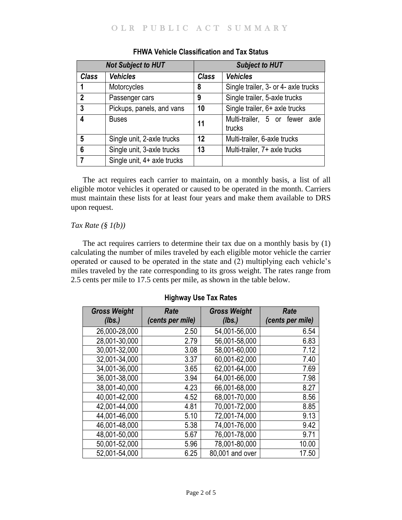| <b>Not Subject to HUT</b> |                             | <b>Subject to HUT</b> |                                          |
|---------------------------|-----------------------------|-----------------------|------------------------------------------|
| <b>Class</b>              | <b>Vehicles</b>             | <b>Class</b>          | <b>Vehicles</b>                          |
| 1                         | Motorcycles                 | 8                     | Single trailer, 3- or 4- axle trucks     |
| $\overline{2}$            | Passenger cars              | 9                     | Single trailer, 5-axle trucks            |
| 3                         | Pickups, panels, and vans   | 10                    | Single trailer, 6+ axle trucks           |
| 4                         | <b>Buses</b>                | 11                    | Multi-trailer, 5 or fewer axle<br>trucks |
| 5                         | Single unit, 2-axle trucks  | 12                    | Multi-trailer, 6-axle trucks             |
| 6                         | Single unit, 3-axle trucks  | 13                    | Multi-trailer, 7+ axle trucks            |
| 7                         | Single unit, 4+ axle trucks |                       |                                          |

# **FHWA Vehicle Classification and Tax Status**

The act requires each carrier to maintain, on a monthly basis, a list of all eligible motor vehicles it operated or caused to be operated in the month. Carriers must maintain these lists for at least four years and make them available to DRS upon request.

## *Tax Rate (§ 1(b))*

The act requires carriers to determine their tax due on a monthly basis by (1) calculating the number of miles traveled by each eligible motor vehicle the carrier operated or caused to be operated in the state and (2) multiplying each vehicle's miles traveled by the rate corresponding to its gross weight. The rates range from 2.5 cents per mile to 17.5 cents per mile, as shown in the table below.

| <b>Gross Weight</b><br>(lbs.) | <b>Rate</b><br>(cents per mile) | <b>Gross Weight</b><br>(lbs.) | <b>Rate</b><br>(cents per mile) |
|-------------------------------|---------------------------------|-------------------------------|---------------------------------|
| 26,000-28,000                 | 2.50                            | 54,001-56,000                 | 6.54                            |
| 28,001-30,000                 | 2.79                            | 56,001-58,000                 | 6.83                            |
| 30,001-32,000                 | 3.08                            | 58,001-60,000                 | 7.12                            |
| 32,001-34,000                 | 3.37                            | 60,001-62,000                 | 7.40                            |
| 34,001-36,000                 | 3.65                            | 62,001-64,000                 | 7.69                            |
| 36,001-38,000                 | 3.94                            | 64,001-66,000                 | 7.98                            |
| 38,001-40,000                 | 4.23                            | 66,001-68,000                 | 8.27                            |
| 40,001-42,000                 | 4.52                            | 68,001-70,000                 | 8.56                            |
| 42,001-44,000                 | 4.81                            | 70,001-72,000                 | 8.85                            |
| 44,001-46,000                 | 5.10                            | 72.001-74,000                 | 9.13                            |
| 46,001-48,000                 | 5.38                            | 74,001-76,000                 | 9.42                            |
| 48,001-50,000                 | 5.67                            | 76,001-78,000                 | 9.71                            |
| 50,001-52,000                 | 5.96                            | 78,001-80,000                 | 10.00                           |
| 52,001-54,000                 | 6.25                            | 80,001 and over               | 17.50                           |

**Highway Use Tax Rates**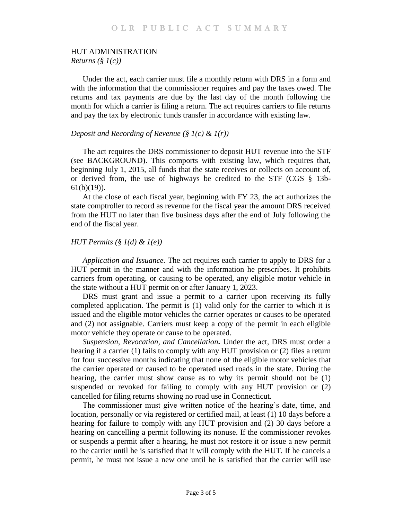#### HUT ADMINISTRATION

*Returns (§ 1(c))*

Under the act, each carrier must file a monthly return with DRS in a form and with the information that the commissioner requires and pay the taxes owed. The returns and tax payments are due by the last day of the month following the month for which a carrier is filing a return. The act requires carriers to file returns and pay the tax by electronic funds transfer in accordance with existing law.

#### *Deposit and Recording of Revenue (§ 1(c) & 1(r))*

The act requires the DRS commissioner to deposit HUT revenue into the STF (see BACKGROUND). This comports with existing law, which requires that, beginning July 1, 2015, all funds that the state receives or collects on account of, or derived from, the use of highways be credited to the STF (CGS § 13b-61(b)(19)).

At the close of each fiscal year, beginning with FY 23, the act authorizes the state comptroller to record as revenue for the fiscal year the amount DRS received from the HUT no later than five business days after the end of July following the end of the fiscal year.

#### *HUT Permits (§ 1(d) & 1(e))*

*Application and Issuance.* The act requires each carrier to apply to DRS for a HUT permit in the manner and with the information he prescribes. It prohibits carriers from operating, or causing to be operated, any eligible motor vehicle in the state without a HUT permit on or after January 1, 2023.

DRS must grant and issue a permit to a carrier upon receiving its fully completed application. The permit is (1) valid only for the carrier to which it is issued and the eligible motor vehicles the carrier operates or causes to be operated and (2) not assignable. Carriers must keep a copy of the permit in each eligible motor vehicle they operate or cause to be operated.

*Suspension, Revocation, and Cancellation.* Under the act, DRS must order a hearing if a carrier (1) fails to comply with any HUT provision or (2) files a return for four successive months indicating that none of the eligible motor vehicles that the carrier operated or caused to be operated used roads in the state. During the hearing, the carrier must show cause as to why its permit should not be  $(1)$ suspended or revoked for failing to comply with any HUT provision or (2) cancelled for filing returns showing no road use in Connecticut.

The commissioner must give written notice of the hearing's date, time, and location, personally or via registered or certified mail, at least (1) 10 days before a hearing for failure to comply with any HUT provision and (2) 30 days before a hearing on cancelling a permit following its nonuse. If the commissioner revokes or suspends a permit after a hearing, he must not restore it or issue a new permit to the carrier until he is satisfied that it will comply with the HUT. If he cancels a permit, he must not issue a new one until he is satisfied that the carrier will use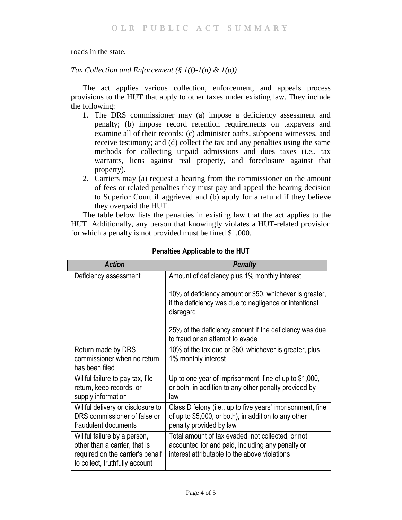roads in the state.

# *Tax Collection and Enforcement (§ 1(f)-1(n) & 1(p))*

The act applies various collection, enforcement, and appeals process provisions to the HUT that apply to other taxes under existing law. They include the following:

- 1. The DRS commissioner may (a) impose a deficiency assessment and penalty; (b) impose record retention requirements on taxpayers and examine all of their records; (c) administer oaths, subpoena witnesses, and receive testimony; and (d) collect the tax and any penalties using the same methods for collecting unpaid admissions and dues taxes (i.e., tax warrants, liens against real property, and foreclosure against that property).
- 2. Carriers may (a) request a hearing from the commissioner on the amount of fees or related penalties they must pay and appeal the hearing decision to Superior Court if aggrieved and (b) apply for a refund if they believe they overpaid the HUT.

The table below lists the penalties in existing law that the act applies to the HUT. Additionally, any person that knowingly violates a HUT-related provision for which a penalty is not provided must be fined \$1,000.

| <b>Action</b>                                                                                                                       | <b>Penalty</b>                                                                                                                                         |  |
|-------------------------------------------------------------------------------------------------------------------------------------|--------------------------------------------------------------------------------------------------------------------------------------------------------|--|
| Deficiency assessment                                                                                                               | Amount of deficiency plus 1% monthly interest                                                                                                          |  |
|                                                                                                                                     | 10% of deficiency amount or \$50, whichever is greater,<br>if the deficiency was due to negligence or intentional<br>disregard                         |  |
|                                                                                                                                     | 25% of the deficiency amount if the deficiency was due<br>to fraud or an attempt to evade                                                              |  |
| Return made by DRS<br>commissioner when no return<br>has been filed                                                                 | 10% of the tax due or \$50, whichever is greater, plus<br>1% monthly interest                                                                          |  |
| Willful failure to pay tax, file<br>return, keep records, or<br>supply information                                                  | Up to one year of imprisonment, fine of up to \$1,000,<br>or both, in addition to any other penalty provided by<br>law                                 |  |
| Willful delivery or disclosure to<br>DRS commissioner of false or<br>fraudulent documents                                           | Class D felony (i.e., up to five years' imprisonment, fine<br>of up to \$5,000, or both), in addition to any other<br>penalty provided by law          |  |
| Willful failure by a person,<br>other than a carrier, that is<br>required on the carrier's behalf<br>to collect, truthfully account | Total amount of tax evaded, not collected, or not<br>accounted for and paid, including any penalty or<br>interest attributable to the above violations |  |

**Penalties Applicable to the HUT**